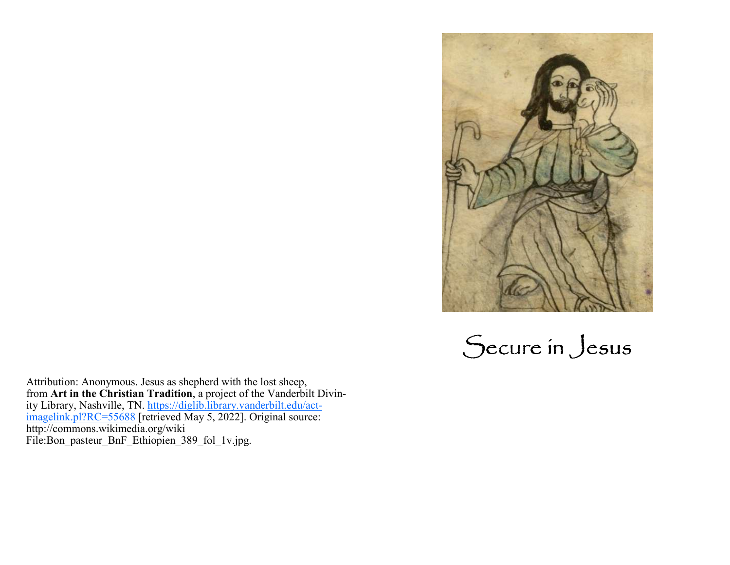

Secure in Jesus

Attribution: Anonymous. Jesus as shepherd with the lost sheep, from Art in the Christian Tradition, a project of the Vanderbi from **Art in the Christian Tradition**, a project of the Vanderbilt Divin-<br>ity Library, Nashville, TN. <u>https://diglib.library.vanderbilt.edu/act-</u><br><u>imagelink.pl?RC=55688</u> [retrieved May 5, 2022]. Original source: http://commons.wikimedia.org/wiki File:Bon\_pasteur\_BnF\_Ethiopien\_389\_fol\_1v.jpg.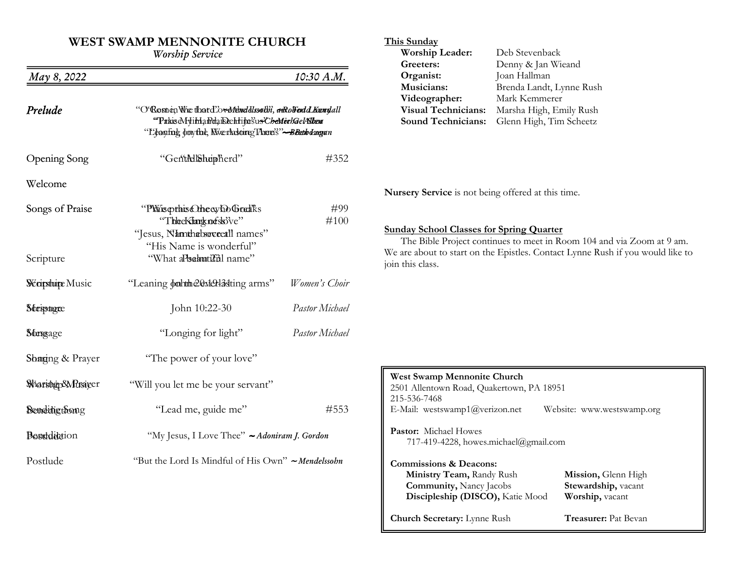# **WEST SWAMP MENNONITE CHURCH**

*W rship Service*

| May 8, 2022           |                                                                                                                                                                                   | 10:30 A.M.            |  |
|-----------------------|-----------------------------------------------------------------------------------------------------------------------------------------------------------------------------------|-----------------------|--|
| Prelude               | "O'Rosnen Whe that d'ove Mendelssothi, a Rollend d Kennylall<br>"PakiseMyimandaikeehrija?us'C <i>bedteelsaelAlben</i><br>"L'éanfing donythe, Niverlastoire There's"--Beath drogan |                       |  |
| Opening Song          | "GentAllShupherd"                                                                                                                                                                 | #352                  |  |
| Welcome               |                                                                                                                                                                                   |                       |  |
| Songs of Praise       | "PWisopthis Checy bo Gradks<br>"TheeKimgknefsk3've"<br>"Jesus, Nhmthabsoveetil names"<br>"His Name is wonderful"                                                                  | #99<br>#100           |  |
| Scripture             | "What aPsahutadil name"                                                                                                                                                           |                       |  |
| <b>Warsture Music</b> | "Leaning doubthe 20: Meriasting arms"                                                                                                                                             | Women's Choir         |  |
| Stessagre             | John 10:22-30                                                                                                                                                                     | Pastor Michael        |  |
| Stergage              | "Longing for light"                                                                                                                                                               | <b>Pastor Michael</b> |  |
| Shaging & Prayer      | "The power of your love"                                                                                                                                                          |                       |  |
| Warshep&Mrsiger       | "Will you let me be your servant"                                                                                                                                                 |                       |  |
| Bendingtoong          | "Lead me, guide me"                                                                                                                                                               | #553                  |  |
| Boseddeteion          | "My Jesus, I Love Thee" ~ Adoniram J. Gordon                                                                                                                                      |                       |  |
| Postlude              | "But the Lord Is Mindful of His Own" ~ Mendelssohn                                                                                                                                |                       |  |

# **This Sunday**

| Worship Leader:            | Deb Stevenback           |
|----------------------------|--------------------------|
| Greeters:                  | Denny & Jan Wieand       |
| Organist:                  | Joan Hallman             |
| Musicians:                 | Brenda Landt, Lynne Rush |
| Videographer:              | Mark Kemmerer            |
| <b>Visual Technicians:</b> | Marsha High, Emily Rush  |
| <b>Sound Technicians:</b>  | Glenn High, Tim Scheetz  |

**Nursery Service** is not being offered at this time.

**Sunday School Classes for Spring Quarter**  The Bible Project continues to meet in Room 104 and via Zoom at 9 am. We are about to start on the Epistles. Contact Lynne Rush if you would like to join this class.

| <b>West Swamp Mennonite Church</b><br>2501 Allentown Road, Quakertown, PA 18951<br>215-536-7468 |                             |  |  |  |
|-------------------------------------------------------------------------------------------------|-----------------------------|--|--|--|
| E-Mail: westswamp1@verizon.net                                                                  | Website: www.westswamp.org  |  |  |  |
| <b>Pastor:</b> Michael Howes<br>717-419-4228, howes.michael@gmail.com                           |                             |  |  |  |
| <b>Commissions &amp; Deacons:</b>                                                               |                             |  |  |  |
| Ministry Team, Randy Rush                                                                       | Mission, Glenn High         |  |  |  |
| <b>Community, Nancy Jacobs</b>                                                                  | Stewardship, vacant         |  |  |  |
| Discipleship (DISCO), Katie Mood                                                                | Worship, vacant             |  |  |  |
| <b>Church Secretary:</b> Lynne Rush                                                             | <b>Treasurer:</b> Pat Bevan |  |  |  |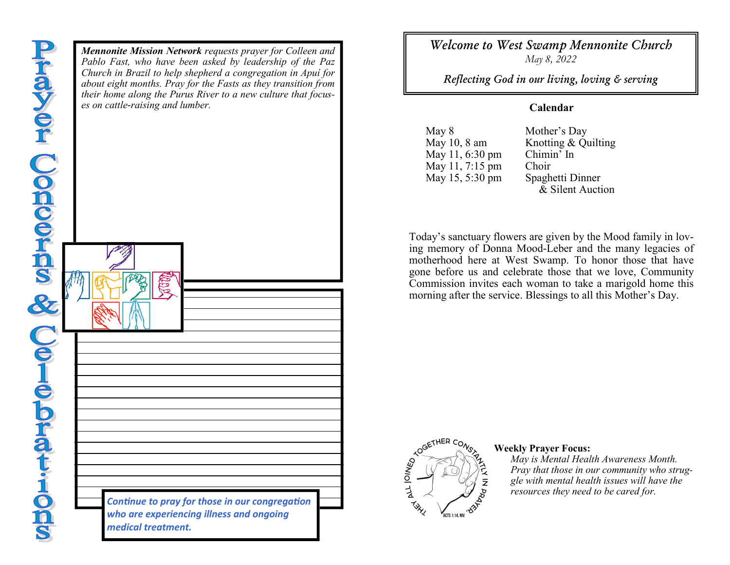*Mennonite Mission Network requests prayer for Colleen and Pablo Fast, who have been asked by leadership of the Paz Church in Brazil to help shepherd a congregation in Apuí for about eight months. Pray for the Fasts as they transition from their home along the Purus River to a new culture that focuses on cattle-raising and lumber.Continue to pray for those in our congregation who are experiencing illness and ongoing medical treatment.* 

*Welcome to West Swamp Mennonite Church May 8, 2022* 

*Reflecting God in our living, loving & serving* 

# **Calendar**

May 8May 10, 8 amMay 11, 6:30 pmMay 11, 7:15 pmMay 15, 5:30 pm

 Mother's Day Knotting & Quilting Chimin' In m Choir<br>m Speak m Spaghetti Dinner<br>R. Silont Auction & Silent Auction

Today's sanctuary flowers are given by the Mood family in loving memory of Donna Mood-Leber and the many legacies of motherhood here at West Swamp. To honor those that have gone before us and celebrate those that we love, Community Commission invites each woman to take a marigold home this morning after the service. Blessings to all this Mother's Day.



### **Weekly Prayer Focus:**

 *May is Mental Health Awareness Month. Pray that those in our community who struggle with mental health issues will have the resources they need to be cared for.*